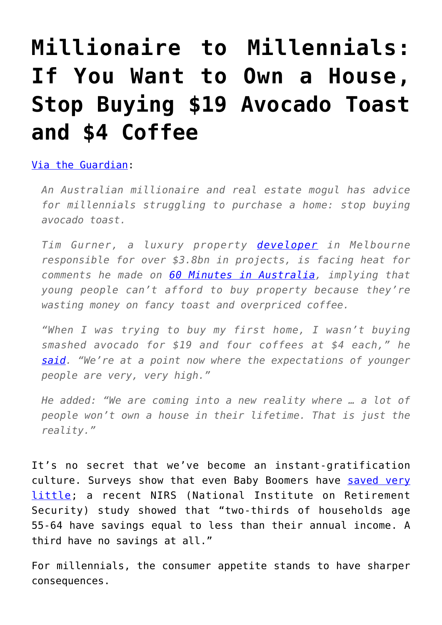## **[Millionaire to Millennials:](https://intellectualtakeout.org/2017/05/millionaire-to-millennials-if-you-want-to-own-a-house-stop-buying-19-avocado-toast-and-4-coffee/) [If You Want to Own a House,](https://intellectualtakeout.org/2017/05/millionaire-to-millennials-if-you-want-to-own-a-house-stop-buying-19-avocado-toast-and-4-coffee/) [Stop Buying \\$19 Avocado Toast](https://intellectualtakeout.org/2017/05/millionaire-to-millennials-if-you-want-to-own-a-house-stop-buying-19-avocado-toast-and-4-coffee/) [and \\$4 Coffee](https://intellectualtakeout.org/2017/05/millionaire-to-millennials-if-you-want-to-own-a-house-stop-buying-19-avocado-toast-and-4-coffee/)**

## [Via the Guardian:](https://www.theguardian.com/lifeandstyle/2017/may/15/australian-millionaire-millennials-avocado-toast-house)

*An Australian millionaire and real estate mogul has advice for millennials struggling to purchase a home: stop buying avocado toast.*

*Tim Gurner, a luxury property [developer](http://www.gurner.com.au/about) in Melbourne responsible for over \$3.8bn in projects, is facing heat for comments he made on [60 Minutes in Australia,](http://www.9news.com.au/national/2017/05/15/08/39/melbourne-property-tycoon-hammers-millennials-over-spending-habits#AefJMO779aIiZ4ud.99) implying that young people can't afford to buy property because they're wasting money on fancy toast and overpriced coffee.*

*"When I was trying to buy my first home, I wasn't buying smashed avocado for \$19 and four coffees at \$4 each," he [said.](http://www.9news.com.au/national/2017/05/15/08/39/melbourne-property-tycoon-hammers-millennials-over-spending-habits) "We're at a point now where the expectations of younger people are very, very high."*

*He added: "We are coming into a new reality where … a lot of people won't own a house in their lifetime. That is just the reality."*

It's no secret that we've become an instant-gratification culture. Surveys show that even Baby Boomers have [saved very](https://www.intellectualtakeout.org/blog/you-wont-believe-how-little-boomers-saved) [little](https://www.intellectualtakeout.org/blog/you-wont-believe-how-little-boomers-saved); a recent NIRS (National Institute on Retirement Security) study showed that "two-thirds of households age 55-64 have savings equal to less than their annual income. A third have no savings at all."

For millennials, the consumer appetite stands to have sharper consequences.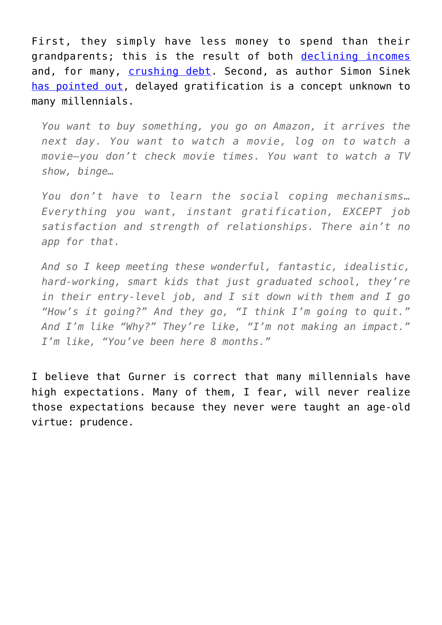First, they simply have less money to spend than their grandparents; this is the result of both [declining incomes](https://www.intellectualtakeout.org/blog/millennials-arent-kidding-about-their-declining-income) and, for many, [crushing debt.](https://www.intellectualtakeout.org/blog/millennials-who-borrowed-money-get-degree-got-destroyed-see-chart) Second, as author Simon Sinek [has pointed out,](https://www.intellectualtakeout.org/blog/viral-video-author-explains-whats-wrong-millennials) delayed gratification is a concept unknown to many millennials.

*You want to buy something, you go on Amazon, it arrives the next day. You want to watch a movie, log on to watch a movie—you don't check movie times. You want to watch a TV show, binge…*

*You don't have to learn the social coping mechanisms… Everything you want, instant gratification, EXCEPT job satisfaction and strength of relationships. There ain't no app for that.*

*And so I keep meeting these wonderful, fantastic, idealistic, hard-working, smart kids that just graduated school, they're in their entry-level job, and I sit down with them and I go "How's it going?" And they go, "I think I'm going to quit." And I'm like "Why?" They're like, "I'm not making an impact." I'm like, "You've been here 8 months."*

I believe that Gurner is correct that many millennials have high expectations. Many of them, I fear, will never realize those expectations because they never were taught an age-old virtue: prudence.